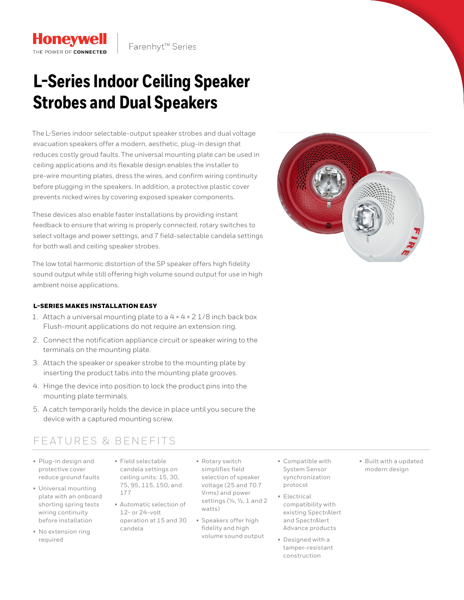# **L-Series Indoor Ceiling Speaker Strobes and Dual Speakers**

The L-Series indoor selectable-output speaker strobes and dual voltage evacuation speakers offer a modern, aesthetic, plug-in design that reduces costly groud faults. The universal mounting plate can be used in ceiling applications and its flexable design enables the installer to pre-wire mounting plates, dress the wires, and confirm wiring continuity before plugging in the speakers. In addition, a protective plastic cover prevents nicked wires by covering exposed speaker components.

These devices also enable faster installations by providing instant feedback to ensure that wiring is properly connected, rotary switches to select voltage and power settings, and 7 field-selectable candela settings for both wall and ceiling speaker strobes.

The low total harmonic distortion of the SP speaker offers high fidelity sound output while still offering high volume sound output for use in high ambient noise applications.

#### L-SERIES MAKES INSTALLATION EASY

**Honeywell** 

THE POWER OF CONNECTED

- 1. Attach a universal mounting plate to a  $4 \times 4 \times 2$  1/8 inch back box Flush-mount applications do not require an extension ring.
- 2. Connect the notification appliance circuit or speaker wiring to the terminals on the mounting plate.
- 3. Attach the speaker or speaker strobe to the mounting plate by inserting the product tabs into the mounting plate grooves.
- 4. Hinge the device into position to lock the product pins into the mounting plate terminals.
- 5. A catch temporarily holds the device in place until you secure the device with a captured mounting screw.

## FEATURES & BENEFITS

- Plug-in design and protective cover reduce ground faults
- Universal mounting plate with an onboard shorting spring tests wiring continuity before installation
- No extension ring required
- Field selectable candela settings on ceiling units: 15, 30, 75, 95, 115, 150, and 177
- Automatic selection of 12- or 24-volt operation at 15 and 30 candela
- Rotary switch simplifies field selection of speaker voltage (25 and 70.7 Vrms) and power settings (¼, ½, 1 and 2 watts)
- Speakers offer high fidelity and high volume sound output
- Compatible with System Sensor synchronization protocol
- Electrical compatibility with existing SpectrAlert and SpectrAlert Advance products
- Designed with a tamper-resistant construction

• Built with a updated modern design

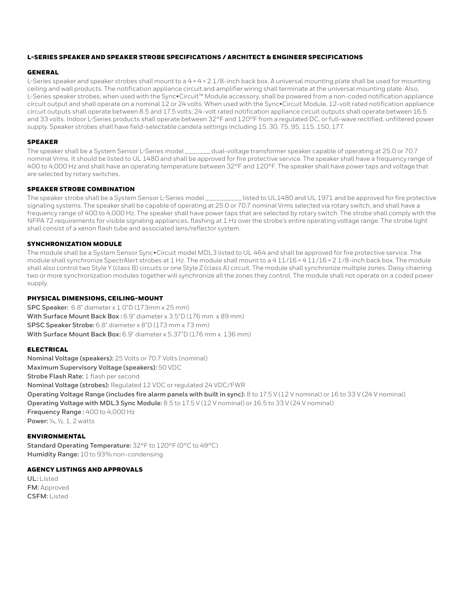#### L-SERIES SPEAKER AND SPEAKER STROBE SPECIFICATIONS / ARCHITECT & ENGINEER SPECIFICATIONS

#### GENERAL

L-Series speaker and speaker strobes shall mount to a  $4 \times 4 \times 2$  1/8-inch back box. A universal mounting plate shall be used for mounting ceiling and wall products. The notification appliance circuit and amplifier wiring shall terminate at the universal mounting plate. Also, L-Series speaker strobes, when used with the Sync•Circuit™ Module accessory, shall be powered from a non-coded notification appliance circuit output and shall operate on a nominal 12 or 24 volts. When used with the Sync•Circuit Module, 12-volt rated notification appliance circuit outputs shall operate between 8.5 and 17.5 volts; 24-volt rated notification appliance circuit outputs shall operate between 16.5 and 33 volts. Indoor L-Series products shall operate between 32°F and 120°F from a regulated DC, or full-wave rectified, unfiltered power supply. Speaker strobes shall have field-selectable candela settings including 15, 30, 75, 95, 115, 150, 177.

#### SPEAKER

The speaker shall be a System Sensor L-Series model \_\_\_\_\_\_\_ dual-voltage transformer speaker capable of operating at 25.0 or 70.7 nominal Vrms. It should be listed to UL 1480 and shall be approved for fire protective service. The speaker shall have a frequency range of 400 to 4,000 Hz and shall have an operating temperature between 32°F and 120°F. The speaker shall have power taps and voltage that are selected by rotary switches.

#### SPEAKER STROBE COMBINATION

The speaker strobe shall be a System Sensor L-Series model \_\_\_\_\_\_\_\_\_\_ listed to UL1480 and UL 1971 and be approved for fire protective signaling systems. The speaker shall be capable of operating at 25.0 or 70.7 nominal Vrms selected via rotary switch, and shall have a frequency range of 400 to 4,000 Hz. The speaker shall have power taps that are selected by rotary switch. The strobe shall comply with the NFPA 72 requirements for visible signaling appliances, flashing at 1 Hz over the strobe's entire operating voltage range. The strobe light shall consist of a xenon flash tube and associated lens/reflector system.

#### SYNCHRONIZATION MODULE

The module shall be a System Sensor Sync•Circuit model MDL3 listed to UL 464 and shall be approved for fire protective service. The module shall synchronize SpectrAlert strobes at 1 Hz. The module shall mount to a 4 11/16 × 4 11/16 × 2 1/8-inch back box. The module shall also control two Style Y (class B) circuits or one Style Z (class A) circuit. The module shall synchronize multiple zones. Daisy chaining two or more synchronization modules together will synchronize all the zones they control. The module shall not operate on a coded power supply.

#### PHYSICAL DIMENSIONS, CEILING-MOUNT

**SPC Speaker:** 6.8" diameter x 1.0"D (173mm x 25 mm) **With Surface Mount Back Box :** 6.9" diameter x 3.5"D (176 mm x 89 mm) **SPSC Speaker Strobe:** 6.8" diameter x 8"D (173 mm x 73 mm) **With Surface Mount Back Box:** 6.9" diameter x 5.37"D (176 mm x 136 mm)

#### ELECTRICAL

**Nominal Voltage (speakers):** 25 Volts or 70.7 Volts (nominal) **Maximum Supervisory Voltage (speakers):** 50 VDC **Strobe Flash Rate:** 1 flash per second **Nominal Voltage (strobes):** Regulated 12 VDC or regulated 24 VDC/FWR **Operating Voltage Range (includes fire alarm panels with built in sync):** 8 to 17.5 V (12 V nominal) or 16 to 33 V (24 V nominal) **Operating Voltage with MDL3 Sync Module:** 8.5 to 17.5 V (12 V nominal) or 16.5 to 33 V (24 V nominal) **Frequency Range :** 400 to 4,000 Hz **Power:** ¼, ½, 1, 2 watts

#### ENVIRONMENTAL

**Standard Operating Temperature:** 32°F to 120°F (0°C to 49°C) **Humidity Range:** 10 to 93% non-condensing

#### AGENCY LISTINGS AND APPROVALS

**UL:** Listed **FM:** Approved **CSFM:** Listed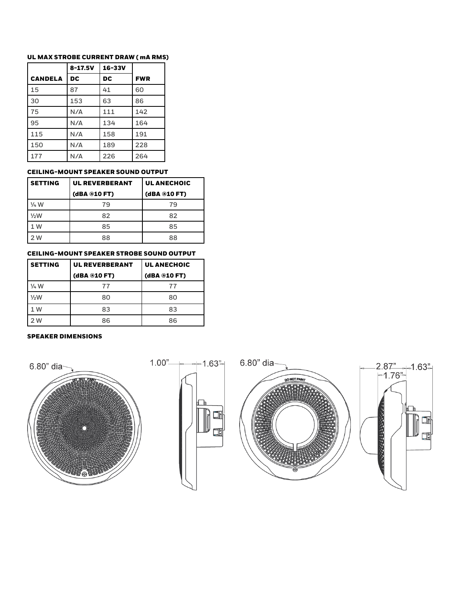### UL MAX STROBE CURRENT DRAW ( mA RMS)

|                | $8 - 17.5V$ | $16 - 33V$ |            |
|----------------|-------------|------------|------------|
| <b>CANDELA</b> | DC          | DC         | <b>FWR</b> |
| 15             | 87          | 41         | 60         |
| 30             | 153         | 63         | 86         |
| 75             | N/A         | 111        | 142        |
| 95             | N/A         | 134        | 164        |
| 115            | N/A         | 158        | 191        |
| 150            | N/A         | 189        | 228        |
| 177            | N/A         | 226        | 264        |

#### CEILING-MOUNT SPEAKER SOUND OUTPUT

| <b>SETTING</b>  | <b>UL REVERBERANT</b> | <b>UL ANECHOIC</b> |
|-----------------|-----------------------|--------------------|
|                 | (dBA @10 FT)          | (dBA @10 FT)       |
| $\frac{1}{4}$ W | 79                    | 79                 |
| 1/2W            | 82                    | 82                 |
| 1 W             | 85                    | 85                 |
| 2 W             | 88                    | 88                 |

### CEILING-MOUNT SPEAKER STROBE SOUND OUTPUT

| <b>SETTING</b>  | <b>UL REVERBERANT</b> | <b>UL ANECHOIC</b> |
|-----------------|-----------------------|--------------------|
|                 | (dBA @10 FT)          | (dBA @10 FT)       |
| $\frac{1}{4}$ W | 77                    | 77                 |
| 1/2W            | 80                    | 80                 |
| 1 W             | 83                    | 83                 |
| 2 W             | 86                    | 86                 |

#### SPEAKER DIMENSIONS